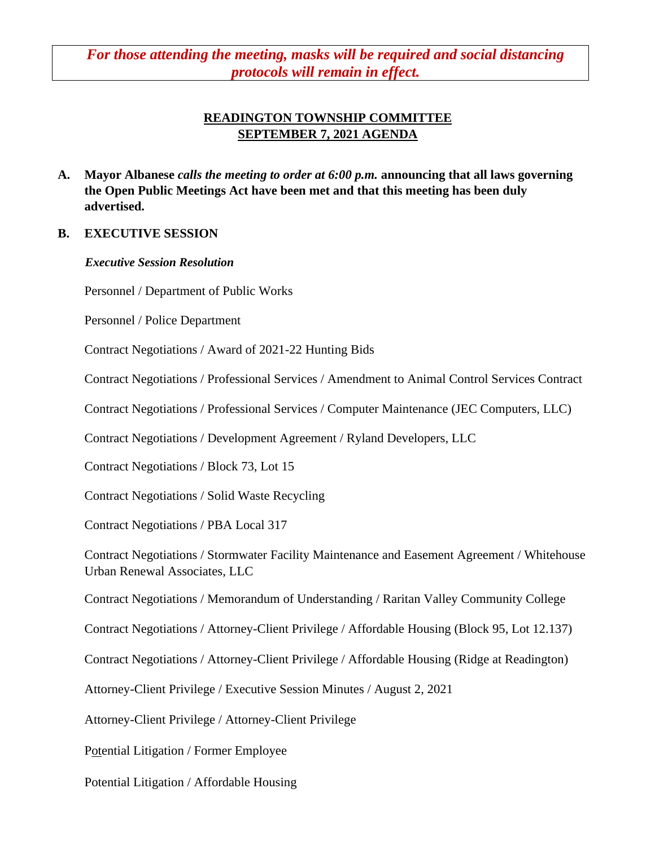*For those attending the meeting, masks will be required and social distancing protocols will remain in effect.*

# **READINGTON TOWNSHIP COMMITTEE SEPTEMBER 7, 2021 AGENDA**

**A. Mayor Albanese** *calls the meeting to order at 6:00 p.m.* **announcing that all laws governing the Open Public Meetings Act have been met and that this meeting has been duly advertised.**

#### **B. EXECUTIVE SESSION**

#### *Executive Session Resolution*

Personnel / Department of Public Works

Personnel / Police Department

Contract Negotiations / Award of 2021-22 Hunting Bids

Contract Negotiations / Professional Services / Amendment to Animal Control Services Contract

Contract Negotiations / Professional Services / Computer Maintenance (JEC Computers, LLC)

Contract Negotiations / Development Agreement / Ryland Developers, LLC

Contract Negotiations / Block 73, Lot 15

Contract Negotiations / Solid Waste Recycling

Contract Negotiations / PBA Local 317

Contract Negotiations / Stormwater Facility Maintenance and Easement Agreement / Whitehouse Urban Renewal Associates, LLC

Contract Negotiations / Memorandum of Understanding / Raritan Valley Community College

Contract Negotiations / Attorney-Client Privilege / Affordable Housing (Block 95, Lot 12.137)

Contract Negotiations / Attorney-Client Privilege / Affordable Housing (Ridge at Readington)

Attorney-Client Privilege / Executive Session Minutes / August 2, 2021

Attorney-Client Privilege / Attorney-Client Privilege

Potential Litigation / Former Employee

Potential Litigation / Affordable Housing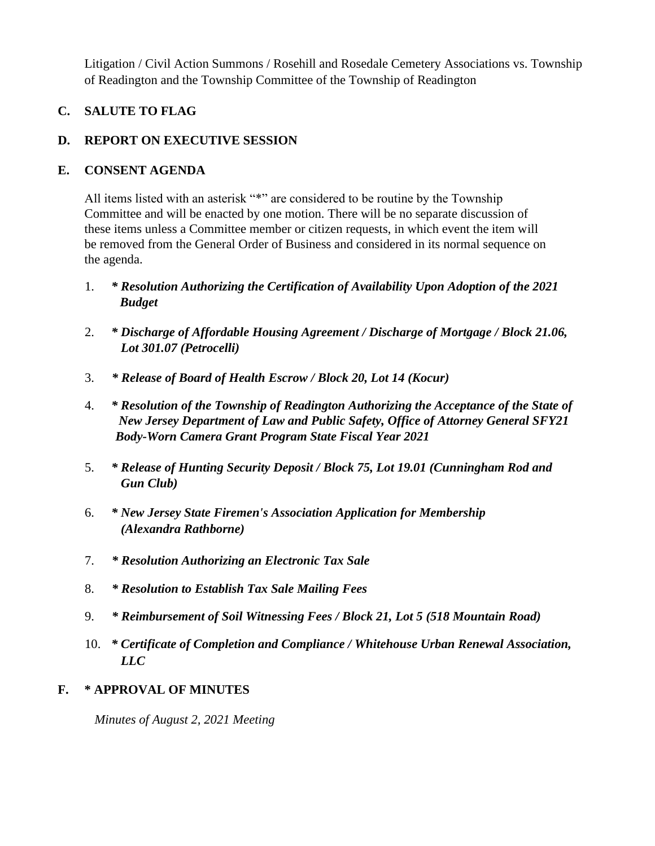Litigation / Civil Action Summons / Rosehill and Rosedale Cemetery Associations vs. Township of Readington and the Township Committee of the Township of Readington

# **C. SALUTE TO FLAG**

## **D. REPORT ON EXECUTIVE SESSION**

#### **E. CONSENT AGENDA**

All items listed with an asterisk "\*" are considered to be routine by the Township Committee and will be enacted by one motion. There will be no separate discussion of these items unless a Committee member or citizen requests, in which event the item will be removed from the General Order of Business and considered in its normal sequence on the agenda.

- 1. *\* Resolution Authorizing the Certification of Availability Upon Adoption of the 2021 Budget*
- 2. *\* Discharge of Affordable Housing Agreement / Discharge of Mortgage / Block 21.06, Lot 301.07 (Petrocelli)*
- 3. *\* Release of Board of Health Escrow / Block 20, Lot 14 (Kocur)*
- 4. *\* Resolution of the Township of Readington Authorizing the Acceptance of the State of New Jersey Department of Law and Public Safety, Office of Attorney General SFY21 Body-Worn Camera Grant Program State Fiscal Year 2021*
- 5. *\* Release of Hunting Security Deposit / Block 75, Lot 19.01 (Cunningham Rod and Gun Club)*
- 6. *\* New Jersey State Firemen's Association Application for Membership (Alexandra Rathborne)*
- 7. *\* Resolution Authorizing an Electronic Tax Sale*
- 8. *\* Resolution to Establish Tax Sale Mailing Fees*
- 9. *\* Reimbursement of Soil Witnessing Fees / Block 21, Lot 5 (518 Mountain Road)*
- 10. *\* Certificate of Completion and Compliance / Whitehouse Urban Renewal Association, LLC*

#### **F. \* APPROVAL OF MINUTES**

 *Minutes of August 2, 2021 Meeting*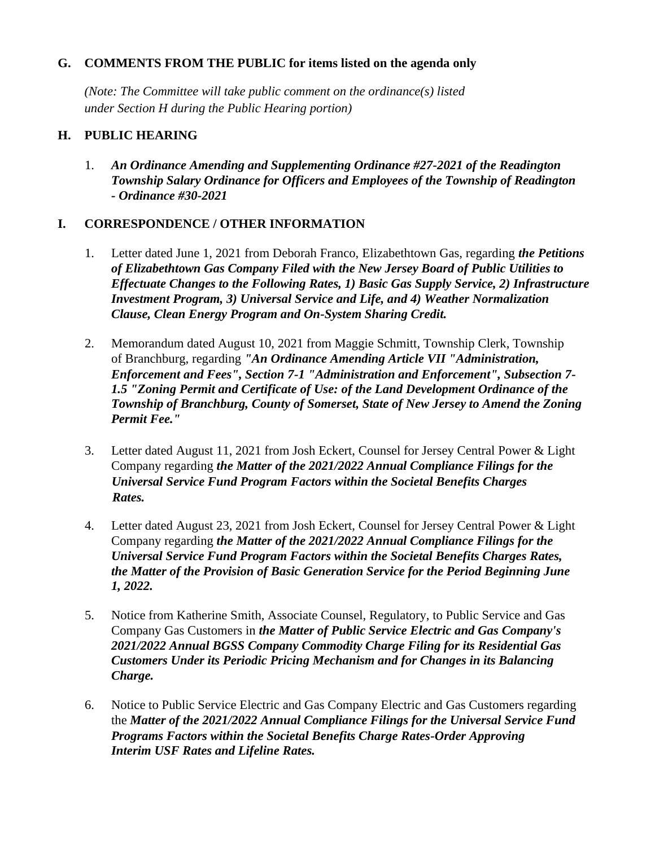#### **G. COMMENTS FROM THE PUBLIC for items listed on the agenda only**

*(Note: The Committee will take public comment on the ordinance(s) listed under Section H during the Public Hearing portion)*

#### **H. PUBLIC HEARING**

1. *An Ordinance Amending and Supplementing Ordinance #27-2021 of the Readington Township Salary Ordinance for Officers and Employees of the Township of Readington - Ordinance #30-2021*

## **I. CORRESPONDENCE / OTHER INFORMATION**

- 1. Letter dated June 1, 2021 from Deborah Franco, Elizabethtown Gas, regarding *the Petitions of Elizabethtown Gas Company Filed with the New Jersey Board of Public Utilities to Effectuate Changes to the Following Rates, 1) Basic Gas Supply Service, 2) Infrastructure Investment Program, 3) Universal Service and Life, and 4) Weather Normalization Clause, Clean Energy Program and On-System Sharing Credit.*
- 2. Memorandum dated August 10, 2021 from Maggie Schmitt, Township Clerk, Township of Branchburg, regarding *"An Ordinance Amending Article VII "Administration, Enforcement and Fees", Section 7-1 "Administration and Enforcement", Subsection 7- 1.5 "Zoning Permit and Certificate of Use: of the Land Development Ordinance of the Township of Branchburg, County of Somerset, State of New Jersey to Amend the Zoning Permit Fee."*
- 3. Letter dated August 11, 2021 from Josh Eckert, Counsel for Jersey Central Power & Light Company regarding *the Matter of the 2021/2022 Annual Compliance Filings for the Universal Service Fund Program Factors within the Societal Benefits Charges Rates.*
- 4. Letter dated August 23, 2021 from Josh Eckert, Counsel for Jersey Central Power & Light Company regarding *the Matter of the 2021/2022 Annual Compliance Filings for the Universal Service Fund Program Factors within the Societal Benefits Charges Rates, the Matter of the Provision of Basic Generation Service for the Period Beginning June 1, 2022.*
- 5. Notice from Katherine Smith, Associate Counsel, Regulatory, to Public Service and Gas Company Gas Customers in *the Matter of Public Service Electric and Gas Company's 2021/2022 Annual BGSS Company Commodity Charge Filing for its Residential Gas Customers Under its Periodic Pricing Mechanism and for Changes in its Balancing Charge.*
- 6. Notice to Public Service Electric and Gas Company Electric and Gas Customers regarding the *Matter of the 2021/2022 Annual Compliance Filings for the Universal Service Fund Programs Factors within the Societal Benefits Charge Rates-Order Approving Interim USF Rates and Lifeline Rates.*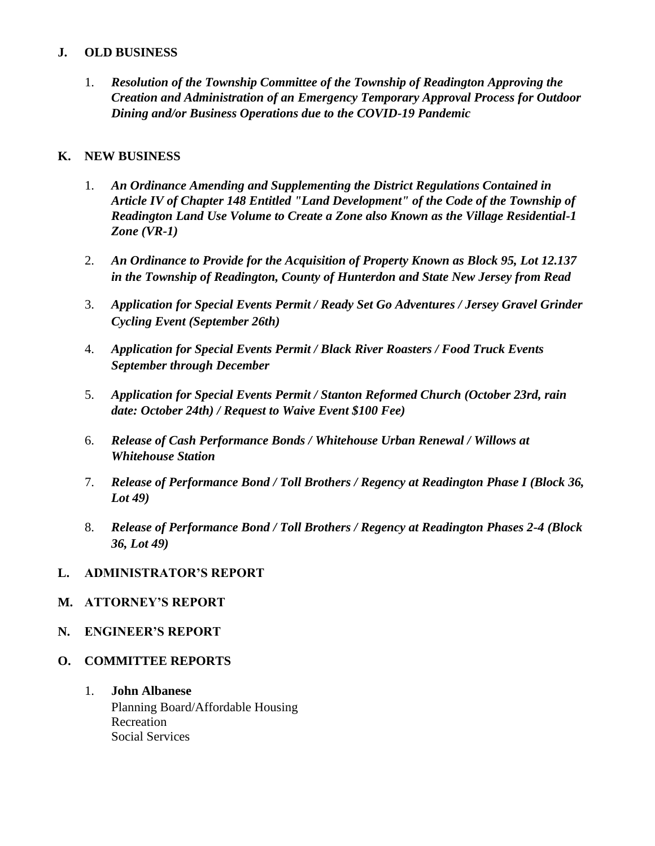#### **J. OLD BUSINESS**

1. *Resolution of the Township Committee of the Township of Readington Approving the Creation and Administration of an Emergency Temporary Approval Process for Outdoor Dining and/or Business Operations due to the COVID-19 Pandemic*

#### **K. NEW BUSINESS**

- 1. *An Ordinance Amending and Supplementing the District Regulations Contained in Article IV of Chapter 148 Entitled "Land Development" of the Code of the Township of Readington Land Use Volume to Create a Zone also Known as the Village Residential-1 Zone (VR-1)*
- 2. *An Ordinance to Provide for the Acquisition of Property Known as Block 95, Lot 12.137 in the Township of Readington, County of Hunterdon and State New Jersey from Read*
- 3. *Application for Special Events Permit / Ready Set Go Adventures / Jersey Gravel Grinder Cycling Event (September 26th)*
- 4. *Application for Special Events Permit / Black River Roasters / Food Truck Events September through December*
- 5. *Application for Special Events Permit / Stanton Reformed Church (October 23rd, rain date: October 24th) / Request to Waive Event \$100 Fee)*
- 6. *Release of Cash Performance Bonds / Whitehouse Urban Renewal / Willows at Whitehouse Station*
- 7. *Release of Performance Bond / Toll Brothers / Regency at Readington Phase I (Block 36, Lot 49)*
- 8. *Release of Performance Bond / Toll Brothers / Regency at Readington Phases 2-4 (Block 36, Lot 49)*

#### **L. ADMINISTRATOR'S REPORT**

#### **M. ATTORNEY'S REPORT**

- **N. ENGINEER'S REPORT**
- **O. COMMITTEE REPORTS**
	- 1. **John Albanese** Planning Board/Affordable Housing Recreation Social Services